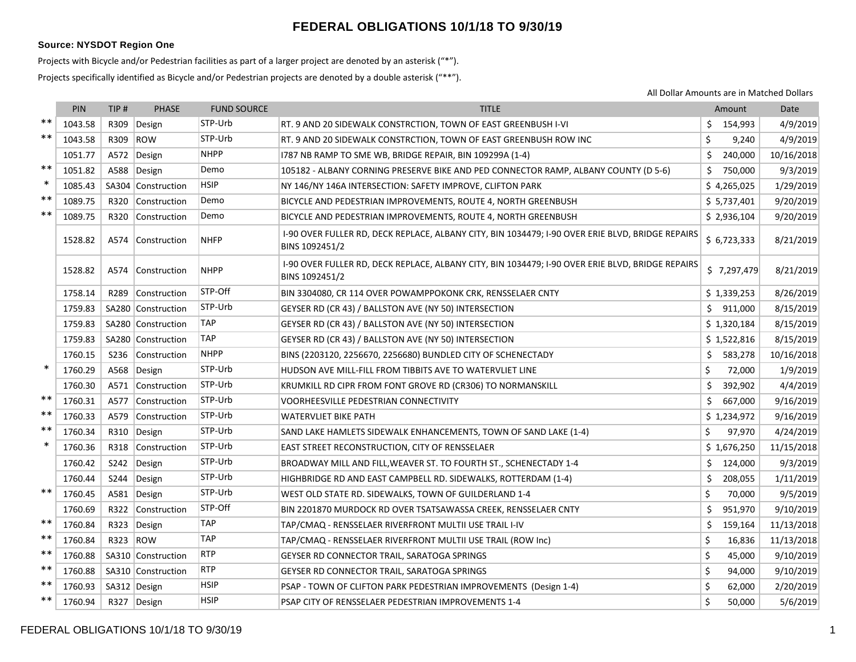## **FEDERAL OBLIGATIONS 10/1/18 TO 9/30/19**

## **Source: NYSDOT Region One**

Projects with Bicycle and/or Pedestrian facilities as part of a larger project are denoted by an asterisk ("\*").

Projects specifically identified as Bicycle and/or Pedestrian projects are denoted by a double asterisk ("\*\*").

All Dollar Amounts are in Matched Dollars

|        | <b>PIN</b> | TIP <sub>#</sub> | <b>PHASE</b>       | <b>FUND SOURCE</b> | <b>TITLE</b>                                                                                                       | Amount        | Date       |
|--------|------------|------------------|--------------------|--------------------|--------------------------------------------------------------------------------------------------------------------|---------------|------------|
| $* *$  | 1043.58    | R309             | Design             | STP-Urb            | RT. 9 AND 20 SIDEWALK CONSTRCTION, TOWN OF EAST GREENBUSH I-VI                                                     | 154,993       | 4/9/2019   |
| $***$  | 1043.58    | R309             | ROW                | STP-Urb            | RT. 9 AND 20 SIDEWALK CONSTRCTION, TOWN OF EAST GREENBUSH ROW INC                                                  | Ś<br>9,240    | 4/9/2019   |
|        | 1051.77    |                  | A572 Design        | <b>NHPP</b>        | 1787 NB RAMP TO SME WB, BRIDGE REPAIR, BIN 109299A (1-4)                                                           | Ś.<br>240,000 | 10/16/2018 |
| $**$   | 1051.82    |                  | A588 Design        | Demo               | 105182 - ALBANY CORNING PRESERVE BIKE AND PED CONNECTOR RAMP, ALBANY COUNTY (D 5-6)                                | 750,000<br>Ś. | 9/3/2019   |
| $\ast$ | 1085.43    |                  | SA304 Construction | <b>HSIP</b>        | NY 146/NY 146A INTERSECTION: SAFETY IMPROVE, CLIFTON PARK                                                          | \$4,265,025   | 1/29/2019  |
| $***$  | 1089.75    |                  | R320 Construction  | Demo               | BICYCLE AND PEDESTRIAN IMPROVEMENTS, ROUTE 4, NORTH GREENBUSH                                                      | \$5,737,401   | 9/20/2019  |
| $***$  | 1089.75    | R320             | Construction       | Demo               | BICYCLE AND PEDESTRIAN IMPROVEMENTS, ROUTE 4, NORTH GREENBUSH                                                      | \$2,936,104   | 9/20/2019  |
|        | 1528.82    |                  | A574 Construction  | <b>NHFP</b>        | 1-90 OVER FULLER RD, DECK REPLACE, ALBANY CITY, BIN 1034479; 1-90 OVER ERIE BLVD, BRIDGE REPAIRS<br>BINS 1092451/2 | \$6,723,333   | 8/21/2019  |
|        | 1528.82    |                  | A574 Construction  | <b>NHPP</b>        | I-90 OVER FULLER RD, DECK REPLACE, ALBANY CITY, BIN 1034479; I-90 OVER ERIE BLVD, BRIDGE REPAIRS<br>BINS 1092451/2 | \$7,297,479   | 8/21/2019  |
|        | 1758.14    | R289             | Construction       | STP-Off            | BIN 3304080, CR 114 OVER POWAMPPOKONK CRK, RENSSELAER CNTY                                                         | \$1,339,253   | 8/26/2019  |
|        | 1759.83    |                  | SA280 Construction | STP-Urb            | GEYSER RD (CR 43) / BALLSTON AVE (NY 50) INTERSECTION                                                              | S.<br>911,000 | 8/15/2019  |
|        | 1759.83    |                  | SA280 Construction | <b>TAP</b>         | GEYSER RD (CR 43) / BALLSTON AVE (NY 50) INTERSECTION                                                              | \$1,320,184   | 8/15/2019  |
|        | 1759.83    |                  | SA280 Construction | <b>TAP</b>         | GEYSER RD (CR 43) / BALLSTON AVE (NY 50) INTERSECTION                                                              | \$1,522,816   | 8/15/2019  |
|        | 1760.15    |                  | S236 Construction  | <b>NHPP</b>        | BINS (2203120, 2256670, 2256680) BUNDLED CITY OF SCHENECTADY                                                       | 583,278<br>Ś. | 10/16/2018 |
| $\ast$ | 1760.29    |                  | A568 Design        | STP-Urb            | HUDSON AVE MILL-FILL FROM TIBBITS AVE TO WATERVLIET LINE                                                           | \$<br>72,000  | 1/9/2019   |
|        | 1760.30    |                  | A571 Construction  | STP-Urb            | KRUMKILL RD CIPR FROM FONT GROVE RD (CR306) TO NORMANSKILL                                                         | \$<br>392,902 | 4/4/2019   |
| $***$  | 1760.31    | A577             | Construction       | STP-Urb            | VOORHEESVILLE PEDESTRIAN CONNECTIVITY                                                                              | \$<br>667,000 | 9/16/2019  |
| $***$  | 1760.33    |                  | A579 Construction  | STP-Urb            | WATERVLIET BIKE PATH                                                                                               | \$1,234,972   | 9/16/2019  |
| $***$  | 1760.34    | R310             | Design             | STP-Urb            | SAND LAKE HAMLETS SIDEWALK ENHANCEMENTS, TOWN OF SAND LAKE (1-4)                                                   | Ś.<br>97,970  | 4/24/2019  |
| $\ast$ | 1760.36    |                  | R318 Construction  | STP-Urb            | EAST STREET RECONSTRUCTION, CITY OF RENSSELAER                                                                     | \$1,676,250   | 11/15/2018 |
|        | 1760.42    | S242             | Design             | STP-Urb            | BROADWAY MILL AND FILL, WEAVER ST. TO FOURTH ST., SCHENECTADY 1-4                                                  | 124,000<br>Ś. | 9/3/2019   |
|        | 1760.44    | S244             | Design             | STP-Urb            | HIGHBRIDGE RD AND EAST CAMPBELL RD. SIDEWALKS, ROTTERDAM (1-4)                                                     | 208,055<br>Ŝ. | 1/11/2019  |
| $***$  | 1760.45    |                  | A581 Design        | STP-Urb            | WEST OLD STATE RD. SIDEWALKS, TOWN OF GUILDERLAND 1-4                                                              | \$<br>70,000  | 9/5/2019   |
|        | 1760.69    | R322             | Construction       | STP-Off            | BIN 2201870 MURDOCK RD OVER TSATSAWASSA CREEK, RENSSELAER CNTY                                                     | Ś.<br>951,970 | 9/10/2019  |
| $***$  | 1760.84    | R323             | Design             | TAP                | TAP/CMAQ - RENSSELAER RIVERFRONT MULTII USE TRAIL I-IV                                                             | Ś.<br>159,164 | 11/13/2018 |
| $***$  | 1760.84    | R323             | ROW                | <b>TAP</b>         | TAP/CMAQ - RENSSELAER RIVERFRONT MULTII USE TRAIL (ROW Inc)                                                        | \$<br>16,836  | 11/13/2018 |
| $***$  | 1760.88    |                  | SA310 Construction | <b>RTP</b>         | GEYSER RD CONNECTOR TRAIL, SARATOGA SPRINGS                                                                        | \$<br>45,000  | 9/10/2019  |
| $***$  | 1760.88    |                  | SA310 Construction | <b>RTP</b>         | GEYSER RD CONNECTOR TRAIL, SARATOGA SPRINGS                                                                        | \$<br>94,000  | 9/10/2019  |
| $***$  | 1760.93    | SA312 Design     |                    | <b>HSIP</b>        | PSAP - TOWN OF CLIFTON PARK PEDESTRIAN IMPROVEMENTS (Design 1-4)                                                   | \$<br>62,000  | 2/20/2019  |
| $***$  | 1760.94    |                  | R327 Design        | <b>HSIP</b>        | PSAP CITY OF RENSSELAER PEDESTRIAN IMPROVEMENTS 1-4                                                                | \$<br>50,000  | 5/6/2019   |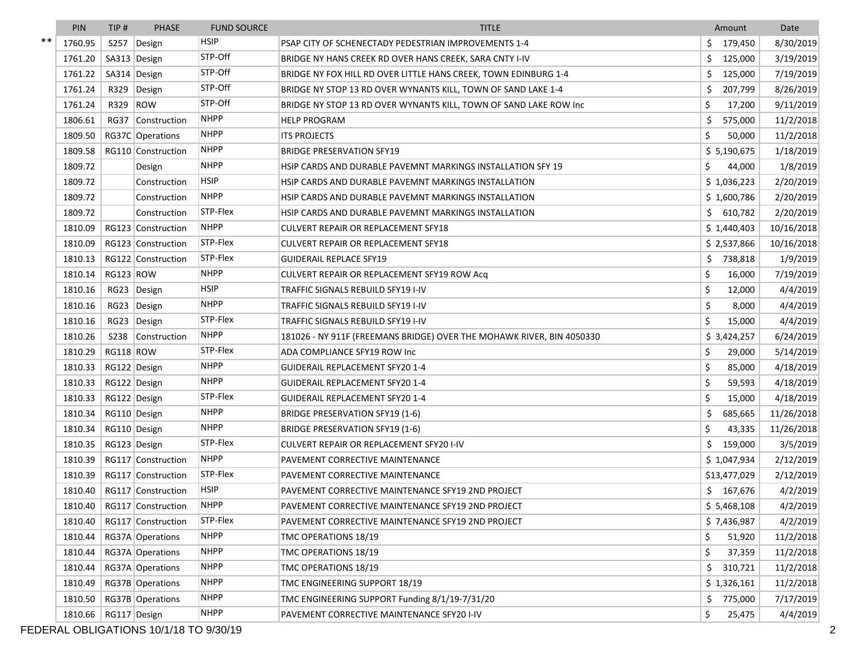|         | PIN     | TIP#         | <b>PHASE</b>                   | <b>FUND SOURCE</b> | <b>TITLE</b>                                                          | Amount         | Date       |
|---------|---------|--------------|--------------------------------|--------------------|-----------------------------------------------------------------------|----------------|------------|
| $^{**}$ | 1760.95 | S257         | Design                         | <b>HSIP</b>        | PSAP CITY OF SCHENECTADY PEDESTRIAN IMPROVEMENTS 1-4                  | 179,450        | 8/30/2019  |
|         | 1761.20 |              | SA313 Design                   | STP-Off            | BRIDGE NY HANS CREEK RD OVER HANS CREEK, SARA CNTY I-IV               | \$<br>125,000  | 3/19/2019  |
|         | 1761.22 |              | SA314 Design                   | STP-Off            | BRIDGE NY FOX HILL RD OVER LITTLE HANS CREEK, TOWN EDINBURG 1-4       | 125,000        | 7/19/2019  |
|         | 1761.24 | R329         | Design                         | STP-Off            | BRIDGE NY STOP 13 RD OVER WYNANTS KILL, TOWN OF SAND LAKE 1-4         | Ś<br>207,799   | 8/26/2019  |
|         | 1761.24 | R329         | ROW                            | STP-Off            | BRIDGE NY STOP 13 RD OVER WYNANTS KILL, TOWN OF SAND LAKE ROW Inc     | 17,200         | 9/11/2019  |
|         | 1806.61 | <b>RG37</b>  | Construction                   | <b>NHPP</b>        | <b>HELP PROGRAM</b>                                                   | Ś<br>575,000   | 11/2/2018  |
|         | 1809.50 |              | RG37C Operations               | <b>NHPP</b>        | <b>ITS PROJECTS</b>                                                   | 50,000         | 11/2/2018  |
|         | 1809.58 |              | RG110 Construction             | <b>NHPP</b>        | <b>BRIDGE PRESERVATION SFY19</b>                                      | \$5,190,675    | 1/18/2019  |
|         | 1809.72 |              | Design                         | <b>NHPP</b>        | HSIP CARDS AND DURABLE PAVEMNT MARKINGS INSTALLATION SFY 19           | \$<br>44,000   | 1/8/2019   |
|         | 1809.72 |              | Construction                   | <b>HSIP</b>        | HSIP CARDS AND DURABLE PAVEMNT MARKINGS INSTALLATION                  | \$1,036,223    | 2/20/2019  |
|         | 1809.72 |              | Construction                   | <b>NHPP</b>        | HSIP CARDS AND DURABLE PAVEMNT MARKINGS INSTALLATION                  | \$1,600,786    | 2/20/2019  |
|         | 1809.72 |              | Construction                   | STP-Flex           | HSIP CARDS AND DURABLE PAVEMNT MARKINGS INSTALLATION                  | \$.<br>610,782 | 2/20/2019  |
|         | 1810.09 |              | RG123 Construction             | <b>NHPP</b>        | CULVERT REPAIR OR REPLACEMENT SFY18                                   | \$1,440,403    | 10/16/2018 |
|         | 1810.09 |              | RG123 Construction             | STP-Flex           | <b>CULVERT REPAIR OR REPLACEMENT SFY18</b>                            | \$2,537,866    | 10/16/2018 |
|         | 1810.13 |              | RG122 Construction             | STP-Flex           | <b>GUIDERAIL REPLACE SFY19</b>                                        | 738,818        | 1/9/2019   |
|         | 1810.14 | RG123 ROW    |                                | <b>NHPP</b>        | CULVERT REPAIR OR REPLACEMENT SFY19 ROW Acq                           | 16,000         | 7/19/2019  |
|         | 1810.16 |              | RG23 Design                    | <b>HSIP</b>        | <b>TRAFFIC SIGNALS REBUILD SFY19 I-IV</b>                             | \$<br>12,000   | 4/4/2019   |
|         | 1810.16 |              | RG23 Design                    | <b>NHPP</b>        | TRAFFIC SIGNALS REBUILD SFY19 I-IV                                    | \$<br>8,000    | 4/4/2019   |
|         | 1810.16 | RG23         | Design                         | STP-Flex           | TRAFFIC SIGNALS REBUILD SFY19 I-IV                                    | \$<br>15,000   | 4/4/2019   |
|         | 1810.26 |              | S238 Construction              | <b>NHPP</b>        | 181026 - NY 911F (FREEMANS BRIDGE) OVER THE MOHAWK RIVER, BIN 4050330 | \$3,424,257    | 6/24/2019  |
|         | 1810.29 | RG118 ROW    |                                | STP-Flex           | ADA COMPLIANCE SFY19 ROW Inc                                          | 29,000         | 5/14/2019  |
|         | 1810.33 |              | RG122 Design                   | <b>NHPP</b>        | GUIDERAIL REPLACEMENT SFY20 1-4                                       | \$<br>85,000   | 4/18/2019  |
|         | 1810.33 | RG122 Design |                                | <b>NHPP</b>        | <b>GUIDERAIL REPLACEMENT SFY20 1-4</b>                                | \$<br>59,593   | 4/18/2019  |
|         | 1810.33 | RG122 Design |                                | STP-Flex           | GUIDERAIL REPLACEMENT SFY20 1-4                                       | 15,000         | 4/18/2019  |
|         | 1810.34 | RG110 Design |                                | <b>NHPP</b>        | <b>BRIDGE PRESERVATION SFY19 (1-6)</b>                                | Ś<br>685,665   | 11/26/2018 |
|         | 1810.34 | RG110 Design |                                | <b>NHPP</b>        | <b>BRIDGE PRESERVATION SFY19 (1-6)</b>                                | 43,335         | 11/26/2018 |
|         | 1810.35 | RG123 Design |                                | STP-Flex           | CULVERT REPAIR OR REPLACEMENT SFY20 I-IV                              | \$<br>159,000  | 3/5/2019   |
|         | 1810.39 |              | RG117 Construction             | <b>NHPP</b>        | PAVEMENT CORRECTIVE MAINTENANCE                                       | \$1,047,934    | 2/12/2019  |
|         | 1810.39 |              | RG117 Construction             | STP-Flex           | PAVEMENT CORRECTIVE MAINTENANCE                                       | \$13,477,029   | 2/12/2019  |
|         | 1810.40 |              | RG117 Construction             | <b>HSIP</b>        | PAVEMENT CORRECTIVE MAINTENANCE SFY19 2ND PROJECT                     | \$167,676      | 4/2/2019   |
|         |         |              | 1810.40   RG117   Construction | NHPP               | PAVEMENT CORRECTIVE MAINTENANCE SFY19 2ND PROJECT                     | \$5,468,108    | 4/2/2019   |
|         | 1810.40 |              | RG117 Construction             | STP-Flex           | PAVEMENT CORRECTIVE MAINTENANCE SFY19 2ND PROJECT                     | \$7,436,987    | 4/2/2019   |
|         | 1810.44 |              | RG37A Operations               | <b>NHPP</b>        | TMC OPERATIONS 18/19                                                  | \$<br>51,920   | 11/2/2018  |
|         | 1810.44 |              | RG37A Operations               | <b>NHPP</b>        | TMC OPERATIONS 18/19                                                  | \$<br>37,359   | 11/2/2018  |
|         | 1810.44 |              | RG37A Operations               | <b>NHPP</b>        | TMC OPERATIONS 18/19                                                  | \$<br>310,721  | 11/2/2018  |
|         | 1810.49 |              | RG37B Operations               | <b>NHPP</b>        | TMC ENGINEERING SUPPORT 18/19                                         | \$1,326,161    | 11/2/2018  |
|         | 1810.50 |              | RG37B Operations               | <b>NHPP</b>        | TMC ENGINEERING SUPPORT Funding 8/1/19-7/31/20                        | \$.<br>775,000 | 7/17/2019  |
|         | 1810.66 | RG117 Design |                                | <b>NHPP</b>        | PAVEMENT CORRECTIVE MAINTENANCE SFY20 I-IV                            | \$<br>25,475   | 4/4/2019   |